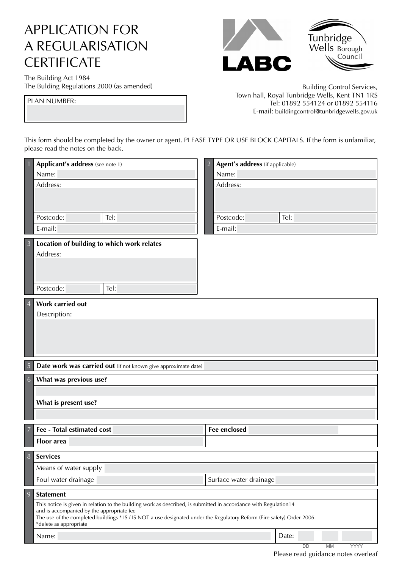## APPLICATION FOR A REGULARISATION **CERTIFICATE**

Tunbridge<br>Wells Borough Council  $\blacktriangle$ BC

The Building Act 1984

The Bulding Regulations 2000 (as amended) and the Building Control Services, Town hall, Royal Tunbridge Wells, Kent TN1 1RS<br>Tel: 01892 554124 or 01892 554116 E-mail: [buildingcontrol@tunbridgewells.gov.uk](mailto:buildingcontrol@tunbridgewells.gov.uk)

This form should be completed by the owner or agent. PLEASE TYPE OR USE BLOCK CAPITALS. If the form is unfamiliar, please read the notes on the back.

|                | Applicant's address (see note 1)                                                                                                                  | Agent's address (if applicable)<br>$\overline{2}$ |
|----------------|---------------------------------------------------------------------------------------------------------------------------------------------------|---------------------------------------------------|
|                | Name:                                                                                                                                             | Name:                                             |
|                | Address:                                                                                                                                          | Address:                                          |
|                |                                                                                                                                                   |                                                   |
|                |                                                                                                                                                   |                                                   |
|                | Postcode:<br>Tel:                                                                                                                                 | Postcode:<br>Tel:                                 |
|                | E-mail:                                                                                                                                           | E-mail:                                           |
| $\overline{3}$ | Location of building to which work relates                                                                                                        |                                                   |
|                | Address:                                                                                                                                          |                                                   |
|                |                                                                                                                                                   |                                                   |
|                |                                                                                                                                                   |                                                   |
|                | Postcode:<br>Tel:                                                                                                                                 |                                                   |
| $\overline{4}$ | <b>Work carried out</b>                                                                                                                           |                                                   |
|                | Description:                                                                                                                                      |                                                   |
|                |                                                                                                                                                   |                                                   |
|                |                                                                                                                                                   |                                                   |
|                |                                                                                                                                                   |                                                   |
|                |                                                                                                                                                   |                                                   |
| 5              | Date work was carried out (if not known give approximate date)                                                                                    |                                                   |
| 6              | What was previous use?                                                                                                                            |                                                   |
|                |                                                                                                                                                   |                                                   |
|                | What is present use?                                                                                                                              |                                                   |
|                |                                                                                                                                                   |                                                   |
| 7              | Fee - Total estimated cost                                                                                                                        | <b>Fee enclosed</b>                               |
|                | <b>Floor</b> area                                                                                                                                 |                                                   |
|                | 8 Services                                                                                                                                        |                                                   |
|                | Means of water supply                                                                                                                             |                                                   |
|                |                                                                                                                                                   |                                                   |
|                | Foul water drainage                                                                                                                               | Surface water drainage                            |
| 9              | <b>Statement</b>                                                                                                                                  |                                                   |
|                | This notice is given in relation to the building work as described, is submitted in accordance with Regulation14                                  |                                                   |
|                | and is accompanied by the appropriate fee                                                                                                         |                                                   |
|                | The use of the completed buildings * IS / IS NOT a use designated under the Regulatory Reform (Fire safety) Order 2006.<br>*delete as appropriate |                                                   |
|                | Name:                                                                                                                                             | Date:                                             |